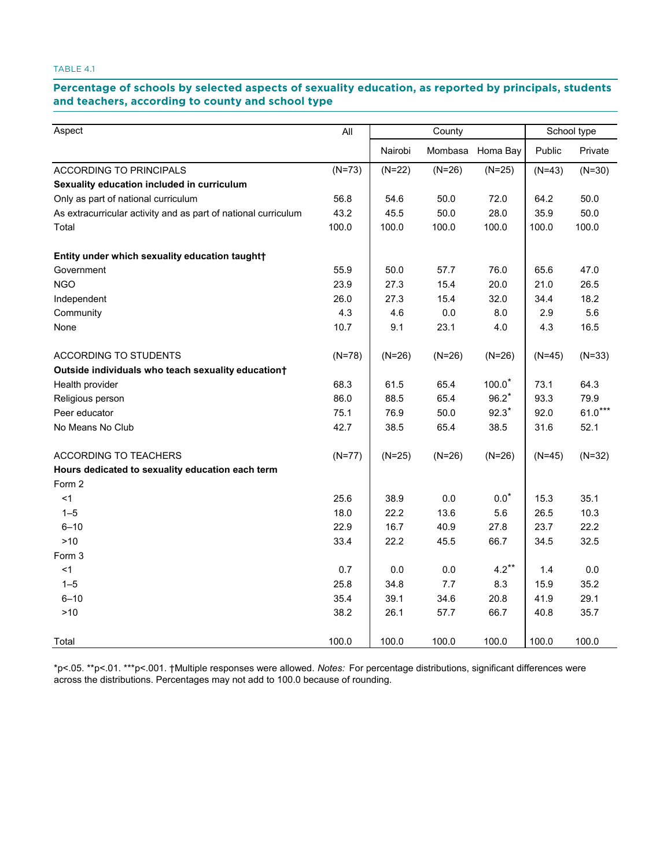# Percentage of schools by selected aspects of sexuality education, as reported by principals, students **teachers, according to county and school type and teachers, according to county and school type**

| Aspect                                                         | All      |          | County   |                  |          | School type |
|----------------------------------------------------------------|----------|----------|----------|------------------|----------|-------------|
|                                                                |          | Nairobi  |          | Mombasa Homa Bay | Public   | Private     |
| <b>ACCORDING TO PRINCIPALS</b>                                 | $(N=73)$ | $(N=22)$ | $(N=26)$ | $(N=25)$         | $(N=43)$ | $(N=30)$    |
| Sexuality education included in curriculum                     |          |          |          |                  |          |             |
| Only as part of national curriculum                            | 56.8     | 54.6     | 50.0     | 72.0             | 64.2     | 50.0        |
| As extracurricular activity and as part of national curriculum | 43.2     | 45.5     | 50.0     | 28.0             | 35.9     | 50.0        |
| Total                                                          | 100.0    | 100.0    | 100.0    | 100.0            | 100.0    | 100.0       |
| Entity under which sexuality education taught†                 |          |          |          |                  |          |             |
| Government                                                     | 55.9     | 50.0     | 57.7     | 76.0             | 65.6     | 47.0        |
| <b>NGO</b>                                                     | 23.9     | 27.3     | 15.4     | 20.0             | 21.0     | 26.5        |
| Independent                                                    | 26.0     | 27.3     | 15.4     | 32.0             | 34.4     | 18.2        |
| Community                                                      | 4.3      | 4.6      | $0.0\,$  | 8.0              | 2.9      | 5.6         |
| None                                                           | 10.7     | 9.1      | 23.1     | 4.0              | 4.3      | 16.5        |
| ACCORDING TO STUDENTS                                          | $(N=78)$ | $(N=26)$ | $(N=26)$ | $(N=26)$         | $(N=45)$ | $(N=33)$    |
| Outside individuals who teach sexuality education+             |          |          |          |                  |          |             |
| Health provider                                                | 68.3     | 61.5     | 65.4     | $100.0*$         | 73.1     | 64.3        |
| Religious person                                               | 86.0     | 88.5     | 65.4     | $96.2*$          | 93.3     | 79.9        |
| Peer educator                                                  | 75.1     | 76.9     | 50.0     | $92.3*$          | 92.0     | $61.0***$   |
| No Means No Club                                               | 42.7     | 38.5     | 65.4     | 38.5             | 31.6     | 52.1        |
| <b>ACCORDING TO TEACHERS</b>                                   | $(N=77)$ | $(N=25)$ | $(N=26)$ | $(N=26)$         | $(N=45)$ | $(N=32)$    |
| Hours dedicated to sexuality education each term               |          |          |          |                  |          |             |
| Form 2                                                         |          |          |          |                  |          |             |
| <1                                                             | 25.6     | 38.9     | $0.0\,$  | $0.0*$           | 15.3     | 35.1        |
| $1 - 5$                                                        | 18.0     | 22.2     | 13.6     | 5.6              | 26.5     | 10.3        |
| $6 - 10$                                                       | 22.9     | 16.7     | 40.9     | 27.8             | 23.7     | 22.2        |
| $>10$                                                          | 33.4     | 22.2     | 45.5     | 66.7             | 34.5     | 32.5        |
| Form 3                                                         |          |          |          |                  |          |             |
| < 1                                                            | 0.7      | 0.0      | 0.0      | $4.2***$         | 1.4      | $0.0\,$     |
| $1 - 5$                                                        | 25.8     | 34.8     | 7.7      | 8.3              | 15.9     | 35.2        |
| $6 - 10$                                                       | 35.4     | 39.1     | 34.6     | 20.8             | 41.9     | 29.1        |
| $>10$                                                          | 38.2     | 26.1     | 57.7     | 66.7             | 40.8     | 35.7        |
| Total                                                          | 100.0    | 100.0    | 100.0    | 100.0            | 100.0    | 100.0       |

\*p<.05. \*\*p<.01. \*\*\*p<.001. †Multiple responses were allowed. *Notes:* For percentage distributions, significant differences were across the distributions. Percentages may not add to 100.0 because of rounding.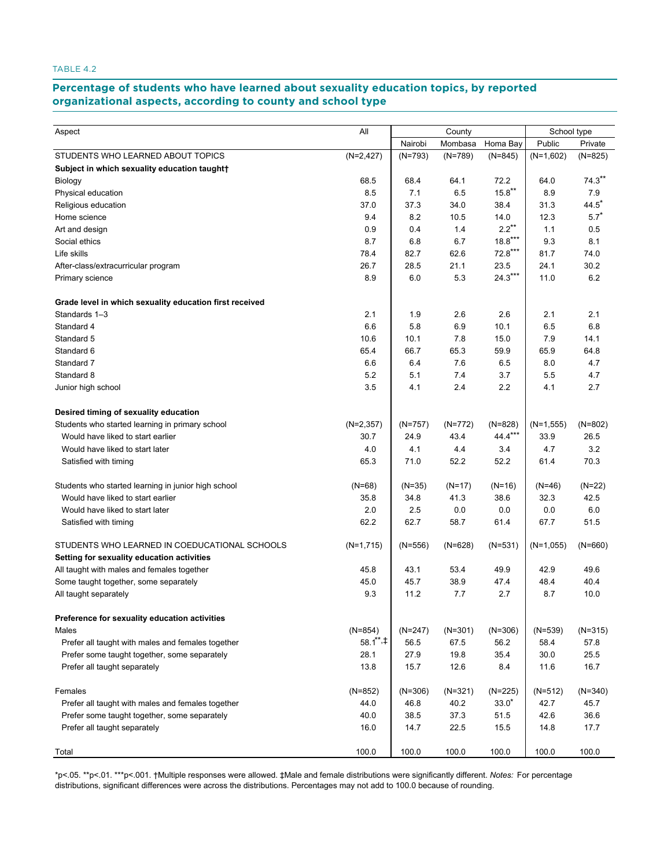#### **Percentage of students who have learned about sexuality education topics, by reported TABLE 4.2. Percentage of students who have sexuality education is student about sexuality education or students a**

| All<br>County<br>School type<br>Aspect<br>Nairobi<br>Mombasa<br>Public<br>Homa Bay<br>Private<br>$(N=845)$<br>STUDENTS WHO LEARNED ABOUT TOPICS<br>$(N=2, 427)$<br>$(N=793)$<br>$(N=789)$<br>$(N=825)$<br>$(N=1,602)$<br>Subject in which sexuality education taught+<br>72.2<br>$74.3***$<br>68.5<br>68.4<br>64.1<br>64.0<br>Biology<br>$15.8***$<br>8.5<br>7.1<br>6.5<br>8.9<br>7.9<br>Physical education<br>$44.5^*$<br>37.0<br>37.3<br>34.0<br>38.4<br>31.3<br>Religious education<br>$5.7*$<br>8.2<br>10.5<br>Home science<br>9.4<br>14.0<br>12.3<br>$2.2***$<br>0.9<br>0.4<br>1.4<br>0.5<br>Art and design<br>1.1<br>$18.8***$<br>8.7<br>6.8<br>6.7<br>9.3<br>8.1<br>Social ethics<br>$72.8***$<br>Life skills<br>78.4<br>82.7<br>62.6<br>81.7<br>74.0<br>26.7<br>28.5<br>21.1<br>23.5<br>30.2<br>24.1<br>After-class/extracurricular program |
|-----------------------------------------------------------------------------------------------------------------------------------------------------------------------------------------------------------------------------------------------------------------------------------------------------------------------------------------------------------------------------------------------------------------------------------------------------------------------------------------------------------------------------------------------------------------------------------------------------------------------------------------------------------------------------------------------------------------------------------------------------------------------------------------------------------------------------------------------------|
|                                                                                                                                                                                                                                                                                                                                                                                                                                                                                                                                                                                                                                                                                                                                                                                                                                                     |
|                                                                                                                                                                                                                                                                                                                                                                                                                                                                                                                                                                                                                                                                                                                                                                                                                                                     |
|                                                                                                                                                                                                                                                                                                                                                                                                                                                                                                                                                                                                                                                                                                                                                                                                                                                     |
|                                                                                                                                                                                                                                                                                                                                                                                                                                                                                                                                                                                                                                                                                                                                                                                                                                                     |
|                                                                                                                                                                                                                                                                                                                                                                                                                                                                                                                                                                                                                                                                                                                                                                                                                                                     |
|                                                                                                                                                                                                                                                                                                                                                                                                                                                                                                                                                                                                                                                                                                                                                                                                                                                     |
|                                                                                                                                                                                                                                                                                                                                                                                                                                                                                                                                                                                                                                                                                                                                                                                                                                                     |
|                                                                                                                                                                                                                                                                                                                                                                                                                                                                                                                                                                                                                                                                                                                                                                                                                                                     |
|                                                                                                                                                                                                                                                                                                                                                                                                                                                                                                                                                                                                                                                                                                                                                                                                                                                     |
|                                                                                                                                                                                                                                                                                                                                                                                                                                                                                                                                                                                                                                                                                                                                                                                                                                                     |
|                                                                                                                                                                                                                                                                                                                                                                                                                                                                                                                                                                                                                                                                                                                                                                                                                                                     |
|                                                                                                                                                                                                                                                                                                                                                                                                                                                                                                                                                                                                                                                                                                                                                                                                                                                     |
| $24.3***$<br>8.9<br>6.0<br>5.3<br>6.2<br>11.0<br>Primary science                                                                                                                                                                                                                                                                                                                                                                                                                                                                                                                                                                                                                                                                                                                                                                                    |
| Grade level in which sexuality education first received                                                                                                                                                                                                                                                                                                                                                                                                                                                                                                                                                                                                                                                                                                                                                                                             |
| Standards 1-3<br>2.1<br>1.9<br>2.6<br>2.6<br>2.1<br>2.1                                                                                                                                                                                                                                                                                                                                                                                                                                                                                                                                                                                                                                                                                                                                                                                             |
| 6.6<br>5.8<br>6.9<br>10.1<br>6.5<br>6.8<br>Standard 4                                                                                                                                                                                                                                                                                                                                                                                                                                                                                                                                                                                                                                                                                                                                                                                               |
| 7.8<br>Standard 5<br>10.6<br>10.1<br>15.0<br>7.9<br>14.1                                                                                                                                                                                                                                                                                                                                                                                                                                                                                                                                                                                                                                                                                                                                                                                            |
| 65.4<br>65.3<br>59.9<br>65.9<br>Standard 6<br>66.7<br>64.8                                                                                                                                                                                                                                                                                                                                                                                                                                                                                                                                                                                                                                                                                                                                                                                          |
| 6.6<br>7.6<br>6.5<br>8.0<br>Standard 7<br>6.4<br>4.7                                                                                                                                                                                                                                                                                                                                                                                                                                                                                                                                                                                                                                                                                                                                                                                                |
| 3.7<br>Standard 8<br>5.2<br>5.1<br>7.4<br>5.5<br>4.7                                                                                                                                                                                                                                                                                                                                                                                                                                                                                                                                                                                                                                                                                                                                                                                                |
| 3.5<br>2.4<br>2.2<br>2.7<br>4.1<br>4.1<br>Junior high school                                                                                                                                                                                                                                                                                                                                                                                                                                                                                                                                                                                                                                                                                                                                                                                        |
| Desired timing of sexuality education                                                                                                                                                                                                                                                                                                                                                                                                                                                                                                                                                                                                                                                                                                                                                                                                               |
| Students who started learning in primary school<br>$(N=2,357)$<br>$(N=828)$<br>$(N=802)$<br>$(N=757)$<br>$(N=772)$<br>$(N=1,555)$                                                                                                                                                                                                                                                                                                                                                                                                                                                                                                                                                                                                                                                                                                                   |
| 44.4***<br>43.4<br>Would have liked to start earlier<br>30.7<br>24.9<br>33.9<br>26.5                                                                                                                                                                                                                                                                                                                                                                                                                                                                                                                                                                                                                                                                                                                                                                |
| 3.2<br>Would have liked to start later<br>4.0<br>4.1<br>4.4<br>3.4<br>4.7                                                                                                                                                                                                                                                                                                                                                                                                                                                                                                                                                                                                                                                                                                                                                                           |
| 52.2<br>52.2<br>70.3<br>65.3<br>71.0<br>61.4<br>Satisfied with timing                                                                                                                                                                                                                                                                                                                                                                                                                                                                                                                                                                                                                                                                                                                                                                               |
| $(N=22)$<br>Students who started learning in junior high school<br>(N=68)<br>$(N=35)$<br>$(N=17)$<br>$(N=16)$<br>(N=46)                                                                                                                                                                                                                                                                                                                                                                                                                                                                                                                                                                                                                                                                                                                             |
| 38.6<br>42.5<br>Would have liked to start earlier<br>35.8<br>34.8<br>41.3<br>32.3                                                                                                                                                                                                                                                                                                                                                                                                                                                                                                                                                                                                                                                                                                                                                                   |
| Would have liked to start later<br>2.0<br>2.5<br>0.0<br>0.0<br>0.0<br>6.0                                                                                                                                                                                                                                                                                                                                                                                                                                                                                                                                                                                                                                                                                                                                                                           |
| 62.2<br>62.7<br>58.7<br>61.4<br>67.7<br>51.5<br>Satisfied with timing                                                                                                                                                                                                                                                                                                                                                                                                                                                                                                                                                                                                                                                                                                                                                                               |
| STUDENTS WHO LEARNED IN COEDUCATIONAL SCHOOLS<br>$(N=1,715)$<br>$(N=628)$<br>$(N=531)$<br>$(N=1,055)$<br>$(N=556)$<br>$(N=660)$                                                                                                                                                                                                                                                                                                                                                                                                                                                                                                                                                                                                                                                                                                                     |
| Setting for sexuality education activities                                                                                                                                                                                                                                                                                                                                                                                                                                                                                                                                                                                                                                                                                                                                                                                                          |
| All taught with males and females together<br>45.8<br>43.1<br>53.4<br>49.9<br>42.9<br>49.6                                                                                                                                                                                                                                                                                                                                                                                                                                                                                                                                                                                                                                                                                                                                                          |
| 47.4<br>40.4<br>Some taught together, some separately<br>45.0<br>45.7<br>38.9<br>48.4                                                                                                                                                                                                                                                                                                                                                                                                                                                                                                                                                                                                                                                                                                                                                               |
| All taught separately<br>9.3<br>11.2<br>7.7<br>2.7<br>8.7<br>10.0                                                                                                                                                                                                                                                                                                                                                                                                                                                                                                                                                                                                                                                                                                                                                                                   |
| Preference for sexuality education activities                                                                                                                                                                                                                                                                                                                                                                                                                                                                                                                                                                                                                                                                                                                                                                                                       |
| $(N=854)$<br>Males<br>$(N=247)$<br>$(N=301)$<br>$(N=306)$<br>$(N=539)$<br>(N=315)                                                                                                                                                                                                                                                                                                                                                                                                                                                                                                                                                                                                                                                                                                                                                                   |
| $58.1^{\ast\ast}$ .#<br>56.5<br>67.5<br>56.2<br>57.8<br>Prefer all taught with males and females together<br>58.4                                                                                                                                                                                                                                                                                                                                                                                                                                                                                                                                                                                                                                                                                                                                   |
| 25.5<br>Prefer some taught together, some separately<br>28.1<br>27.9<br>19.8<br>35.4<br>30.0                                                                                                                                                                                                                                                                                                                                                                                                                                                                                                                                                                                                                                                                                                                                                        |
| 12.6<br>11.6<br>16.7<br>Prefer all taught separately<br>13.8<br>15.7<br>8.4                                                                                                                                                                                                                                                                                                                                                                                                                                                                                                                                                                                                                                                                                                                                                                         |
| Females<br>$(N=852)$<br>$(N=306)$<br>$(N=321)$<br>$(N=225)$<br>$(N=340)$<br>$(N=512)$                                                                                                                                                                                                                                                                                                                                                                                                                                                                                                                                                                                                                                                                                                                                                               |
| $33.0*$<br>Prefer all taught with males and females together<br>44.0<br>46.8<br>40.2<br>42.7<br>45.7                                                                                                                                                                                                                                                                                                                                                                                                                                                                                                                                                                                                                                                                                                                                                |
| 37.3<br>51.5<br>36.6<br>Prefer some taught together, some separately<br>40.0<br>38.5<br>42.6                                                                                                                                                                                                                                                                                                                                                                                                                                                                                                                                                                                                                                                                                                                                                        |
| Prefer all taught separately<br>16.0<br>14.7<br>22.5<br>15.5<br>14.8<br>17.7                                                                                                                                                                                                                                                                                                                                                                                                                                                                                                                                                                                                                                                                                                                                                                        |
| 100.0<br>100.0<br>100.0<br>100.0<br>100.0<br>100.0<br>Total                                                                                                                                                                                                                                                                                                                                                                                                                                                                                                                                                                                                                                                                                                                                                                                         |

\*p<.05. \*\*p<.01. \*\*\*p<.001. †Multiple responses were allowed. ‡Male and female distributions were significantly different. *Notes:* For percentage distributions, significant differences were across the distributions. Percentages may not add to 100.0 because of rounding.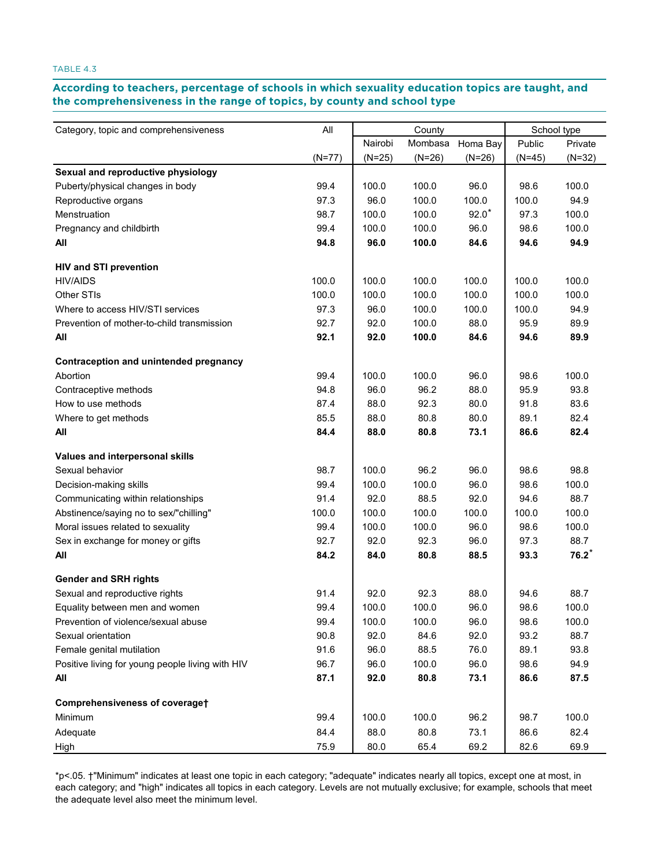## According to teachers, percentage of schools in which sexuality education topics are taught, and **the comprehensiveness in the range of topics, by county and school type comprehensiveness in the range of topics, by county and school type**

| Category, topic and comprehensiveness            | All      |          | County   |          |          | School type |
|--------------------------------------------------|----------|----------|----------|----------|----------|-------------|
|                                                  |          | Nairobi  | Mombasa  | Homa Bay | Public   | Private     |
|                                                  | $(N=77)$ | $(N=25)$ | $(N=26)$ | $(N=26)$ | $(N=45)$ | $(N=32)$    |
| Sexual and reproductive physiology               |          |          |          |          |          |             |
| Puberty/physical changes in body                 | 99.4     | 100.0    | 100.0    | 96.0     | 98.6     | 100.0       |
| Reproductive organs                              | 97.3     | 96.0     | 100.0    | 100.0    | 100.0    | 94.9        |
| Menstruation                                     | 98.7     | 100.0    | 100.0    | $92.0*$  | 97.3     | 100.0       |
| Pregnancy and childbirth                         | 99.4     | 100.0    | 100.0    | 96.0     | 98.6     | 100.0       |
| All                                              | 94.8     | 96.0     | 100.0    | 84.6     | 94.6     | 94.9        |
| <b>HIV and STI prevention</b>                    |          |          |          |          |          |             |
| <b>HIV/AIDS</b>                                  | 100.0    | 100.0    | 100.0    | 100.0    | 100.0    | 100.0       |
| Other STIs                                       | 100.0    | 100.0    | 100.0    | 100.0    | 100.0    | 100.0       |
| Where to access HIV/STI services                 | 97.3     | 96.0     | 100.0    | 100.0    | 100.0    | 94.9        |
| Prevention of mother-to-child transmission       | 92.7     | 92.0     | 100.0    | 88.0     | 95.9     | 89.9        |
| All                                              | 92.1     | 92.0     | 100.0    | 84.6     | 94.6     | 89.9        |
| Contraception and unintended pregnancy           |          |          |          |          |          |             |
| Abortion                                         | 99.4     | 100.0    | 100.0    | 96.0     | 98.6     | 100.0       |
| Contraceptive methods                            | 94.8     | 96.0     | 96.2     | 88.0     | 95.9     | 93.8        |
| How to use methods                               | 87.4     | 88.0     | 92.3     | 80.0     | 91.8     | 83.6        |
| Where to get methods                             | 85.5     | 88.0     | 80.8     | 80.0     | 89.1     | 82.4        |
| All                                              | 84.4     | 88.0     | 80.8     | 73.1     | 86.6     | 82.4        |
| Values and interpersonal skills                  |          |          |          |          |          |             |
| Sexual behavior                                  | 98.7     | 100.0    | 96.2     | 96.0     | 98.6     | 98.8        |
| Decision-making skills                           | 99.4     | 100.0    | 100.0    | 96.0     | 98.6     | 100.0       |
| Communicating within relationships               | 91.4     | 92.0     | 88.5     | 92.0     | 94.6     | 88.7        |
| Abstinence/saying no to sex/"chilling"           | 100.0    | 100.0    | 100.0    | 100.0    | 100.0    | 100.0       |
| Moral issues related to sexuality                | 99.4     | 100.0    | 100.0    | 96.0     | 98.6     | 100.0       |
| Sex in exchange for money or gifts               | 92.7     | 92.0     | 92.3     | 96.0     | 97.3     | 88.7        |
| All                                              | 84.2     | 84.0     | 80.8     | 88.5     | 93.3     | $76.2*$     |
| <b>Gender and SRH rights</b>                     |          |          |          |          |          |             |
| Sexual and reproductive rights                   | 91.4     | 92.0     | 92.3     | 88.0     | 94.6     | 88.7        |
| Equality between men and women                   | 99.4     | 100.0    | 100.0    | 96.0     | 98.6     | 100.0       |
| Prevention of violence/sexual abuse              | 99.4     | 100.0    | 100.0    | 96.0     | 98.6     | 100.0       |
| Sexual orientation                               | 90.8     | 92.0     | 84.6     | 92.0     | 93.2     | 88.7        |
| Female genital mutilation                        | 91.6     | 96.0     | 88.5     | 76.0     | 89.1     | 93.8        |
| Positive living for young people living with HIV | 96.7     | 96.0     | 100.0    | 96.0     | 98.6     | 94.9        |
| All                                              | 87.1     | 92.0     | 80.8     | 73.1     | 86.6     | 87.5        |
| Comprehensiveness of coveraget                   |          |          |          |          |          |             |
| Minimum                                          | 99.4     | 100.0    | 100.0    | 96.2     | 98.7     | 100.0       |
| Adequate                                         | 84.4     | 88.0     | 80.8     | 73.1     | 86.6     | 82.4        |
| High                                             | 75.9     | 80.0     | 65.4     | 69.2     | 82.6     | 69.9        |

\*p<.05. †"Minimum" indicates at least one topic in each category; "adequate" indicates nearly all topics, except one at most, in each category; and "high" indicates all topics in each category. Levels are not mutually exclusive; for example, schools that meet the adequate level also meet the minimum level.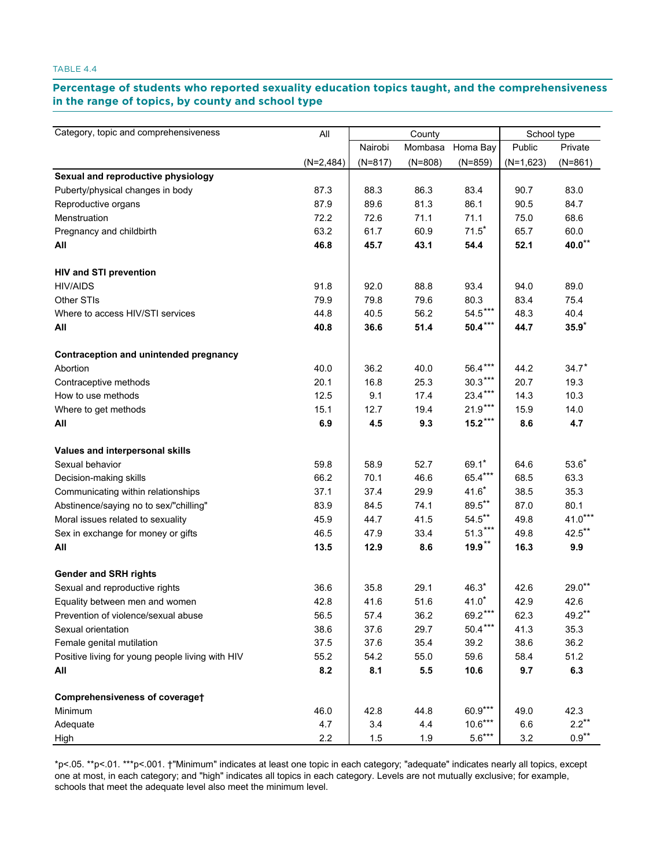# Percentage of students who reported sexuality education topics taught, and the comprehensiveness<br>in the range of tanies, by equativenal sebect tune **in the range of topics, by county and school type range of topics, by county and school type**

| Category, topic and comprehensiveness            | All         |           | County    |           | School type |                              |
|--------------------------------------------------|-------------|-----------|-----------|-----------|-------------|------------------------------|
|                                                  |             | Nairobi   | Mombasa   | Homa Bay  | Public      | Private                      |
|                                                  | $(N=2,484)$ | $(N=817)$ | $(N=808)$ | $(N=859)$ | $(N=1,623)$ | $(N=861)$                    |
| Sexual and reproductive physiology               |             |           |           |           |             |                              |
| Puberty/physical changes in body                 | 87.3        | 88.3      | 86.3      | 83.4      | 90.7        | 83.0                         |
| Reproductive organs                              | 87.9        | 89.6      | 81.3      | 86.1      | 90.5        | 84.7                         |
| Menstruation                                     | 72.2        | 72.6      | 71.1      | 71.1      | 75.0        | 68.6                         |
| Pregnancy and childbirth                         | 63.2        | 61.7      | 60.9      | $71.5*$   | 65.7        | 60.0                         |
| All                                              | 46.8        | 45.7      | 43.1      | 54.4      | 52.1        | $\textbf{40.0}^{\star\star}$ |
| <b>HIV and STI prevention</b>                    |             |           |           |           |             |                              |
| <b>HIV/AIDS</b>                                  | 91.8        | 92.0      | 88.8      | 93.4      | 94.0        | 89.0                         |
| Other STIs                                       | 79.9        | 79.8      | 79.6      | 80.3      | 83.4        | 75.4                         |
| Where to access HIV/STI services                 | 44.8        | 40.5      | 56.2      | $54.5***$ | 48.3        | 40.4                         |
| All                                              | 40.8        | 36.6      | 51.4      | $50.4***$ | 44.7        | $35.9*$                      |
| Contraception and unintended pregnancy           |             |           |           |           |             |                              |
| Abortion                                         | 40.0        | 36.2      | 40.0      | 56.4***   | 44.2        | $34.7*$                      |
| Contraceptive methods                            | 20.1        | 16.8      | 25.3      | $30.3***$ | 20.7        | 19.3                         |
| How to use methods                               | 12.5        | 9.1       | 17.4      | $23.4***$ | 14.3        | 10.3                         |
| Where to get methods                             | 15.1        | 12.7      | 19.4      | $21.9***$ | 15.9        | 14.0                         |
| All                                              | 6.9         | 4.5       | 9.3       | $15.2***$ | 8.6         | 4.7                          |
| Values and interpersonal skills                  |             |           |           |           |             |                              |
| Sexual behavior                                  | 59.8        | 58.9      | 52.7      | $69.1*$   | 64.6        | $53.6*$                      |
| Decision-making skills                           | 66.2        | 70.1      | 46.6      | 65.4***   | 68.5        | 63.3                         |
| Communicating within relationships               | 37.1        | 37.4      | 29.9      | $41.6*$   | 38.5        | 35.3                         |
| Abstinence/saying no to sex/"chilling"           | 83.9        | 84.5      | 74.1      | $89.5***$ | 87.0        | 80.1                         |
| Moral issues related to sexuality                | 45.9        | 44.7      | 41.5      | $54.5***$ | 49.8        | $41.0***$                    |
| Sex in exchange for money or gifts               | 46.5        | 47.9      | 33.4      | $51.3***$ | 49.8        | $42.5$ **                    |
| All                                              | 13.5        | 12.9      | 8.6       | $19.9***$ | 16.3        | 9.9                          |
| <b>Gender and SRH rights</b>                     |             |           |           |           |             |                              |
| Sexual and reproductive rights                   | 36.6        | 35.8      | 29.1      | $46.3*$   | 42.6        | $29.0**$                     |
| Equality between men and women                   | 42.8        | 41.6      | 51.6      | $41.0*$   | 42.9        | 42.6                         |
| Prevention of violence/sexual abuse              | 56.5        | 57.4      | 36.2      | 69.2      | 62.3        | $49.2***$                    |
| Sexual orientation                               | 38.6        | 37.6      | 29.7      | $50.4***$ | 41.3        | 35.3                         |
| Female genital mutilation                        | 37.5        | 37.6      | 35.4      | 39.2      | 38.6        | 36.2                         |
| Positive living for young people living with HIV | 55.2        | 54.2      | 55.0      | 59.6      | 58.4        | 51.2                         |
| All                                              | 8.2         | 8.1       | 5.5       | 10.6      | 9.7         | 6.3                          |
| Comprehensiveness of coveraget                   |             |           |           |           |             |                              |
| Minimum                                          | 46.0        | 42.8      | 44.8      | 60.9***   | 49.0        | 42.3                         |
| Adequate                                         | 4.7         | 3.4       | 4.4       | $10.6***$ | 6.6         | $2.2***$                     |
| High                                             | 2.2         | 1.5       | 1.9       | $5.6***$  | 3.2         | $0.9^{\star\star}$           |

\*p<.05. \*\*p<.01. \*\*\*p<.001. †"Minimum" indicates at least one topic in each category; "adequate" indicates nearly all topics, except one at most, in each category; and "high" indicates all topics in each category. Levels are not mutually exclusive; for example, schools that meet the adequate level also meet the minimum level.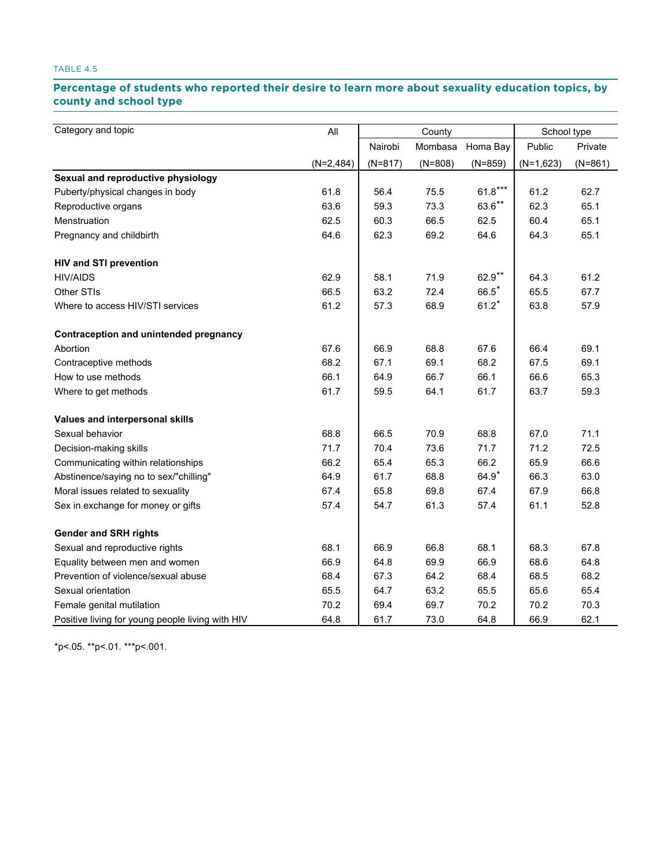# Percentage of students who reported their desire to learn more about sexuality education topics, by **county and school type school type**

| Category and topic                               | All         | County    |           | School type |             |           |
|--------------------------------------------------|-------------|-----------|-----------|-------------|-------------|-----------|
|                                                  |             | Nairobi   | Mombasa   | Homa Bay    | Public      | Private   |
|                                                  | $(N=2,484)$ | $(N=817)$ | $(N=808)$ | $(N=859)$   | $(N=1,623)$ | $(N=861)$ |
| Sexual and reproductive physiology               |             |           |           |             |             |           |
| Puberty/physical changes in body                 | 61.8        | 56.4      | 75.5      | $61.8***$   | 61.2        | 62.7      |
| Reproductive organs                              | 63.6        | 59.3      | 73.3      | $63.6***$   | 62.3        | 65.1      |
| Menstruation                                     | 62.5        | 60.3      | 66.5      | 62.5        | 60.4        | 65.1      |
| Pregnancy and childbirth                         | 64.6        | 62.3      | 69.2      | 64.6        | 64.3        | 65.1      |
| <b>HIV and STI prevention</b>                    |             |           |           |             |             |           |
| <b>HIV/AIDS</b>                                  | 62.9        | 58.1      | 71.9      | 62.9**      | 64.3        | 61.2      |
| Other STIs                                       | 66.5        | 63.2      | 72.4      | $66.5*$     | 65.5        | 67.7      |
| Where to access HIV/STI services                 | 61.2        | 57.3      | 68.9      | $61.2*$     | 63.8        | 57.9      |
| Contraception and unintended pregnancy           |             |           |           |             |             |           |
| Abortion                                         | 67.6        | 66.9      | 68.8      | 67.6        | 66.4        | 69.1      |
| Contraceptive methods                            | 68.2        | 67.1      | 69.1      | 68.2        | 67.5        | 69.1      |
| How to use methods                               | 66.1        | 64.9      | 66.7      | 66.1        | 66.6        | 65.3      |
| Where to get methods                             | 61.7        | 59.5      | 64.1      | 61.7        | 63.7        | 59.3      |
| Values and interpersonal skills                  |             |           |           |             |             |           |
| Sexual behavior                                  | 68.8        | 66.5      | 70.9      | 68.8        | 67.0        | 71.1      |
| Decision-making skills                           | 71.7        | 70.4      | 73.6      | 71.7        | 71.2        | 72.5      |
| Communicating within relationships               | 66.2        | 65.4      | 65.3      | 66.2        | 65.9        | 66.6      |
| Abstinence/saying no to sex/"chilling"           | 64.9        | 61.7      | 68.8      | $64.9*$     | 66.3        | 63.0      |
| Moral issues related to sexuality                | 67.4        | 65.8      | 69.8      | 67.4        | 67.9        | 66.8      |
| Sex in exchange for money or gifts               | 57.4        | 54.7      | 61.3      | 57.4        | 61.1        | 52.8      |
| <b>Gender and SRH rights</b>                     |             |           |           |             |             |           |
| Sexual and reproductive rights                   | 68.1        | 66.9      | 66.8      | 68.1        | 68.3        | 67.8      |
| Equality between men and women                   | 66.9        | 64.8      | 69.9      | 66.9        | 68.6        | 64.8      |
| Prevention of violence/sexual abuse              | 68.4        | 67.3      | 64.2      | 68.4        | 68.5        | 68.2      |
| Sexual orientation                               | 65.5        | 64.7      | 63.2      | 65.5        | 65.6        | 65.4      |
| Female genital mutilation                        | 70.2        | 69.4      | 69.7      | 70.2        | 70.2        | 70.3      |
| Positive living for young people living with HIV | 64.8        | 61.7      | 73.0      | 64.8        | 66.9        | 62.1      |

\*p<.05. \*\*p<.01. \*\*\*p<.001.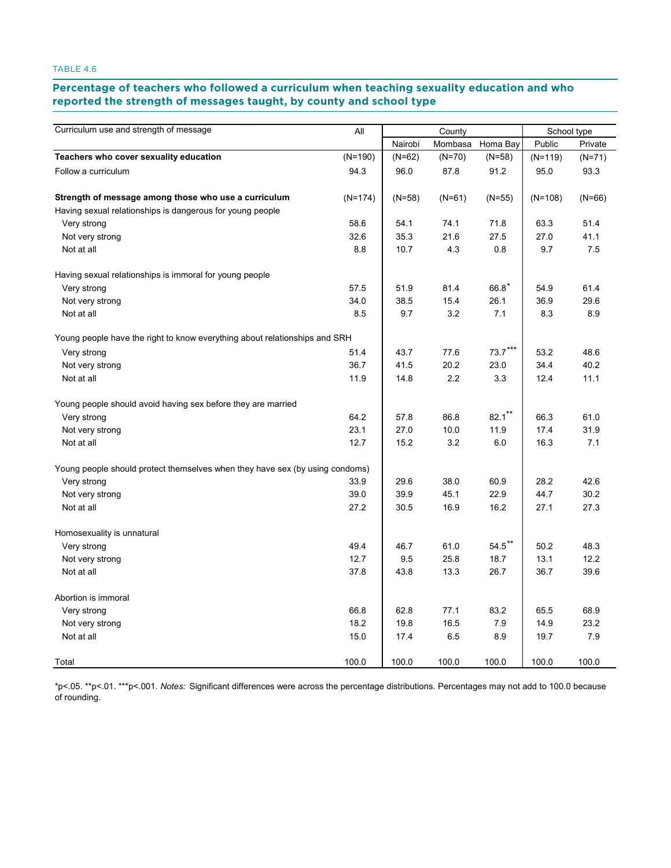#### **Percentage of teachers who followed a curriculum when teaching sexuality education and who**  reported the strength of messages taught, by county and school type **eported the strength of message.**

| Curriculum use and strength of message                                       | All       | County   |          |                                  | School type |          |  |
|------------------------------------------------------------------------------|-----------|----------|----------|----------------------------------|-------------|----------|--|
|                                                                              |           | Nairobi  | Mombasa  | Homa Bay                         | Public      | Private  |  |
| Teachers who cover sexuality education                                       | $(N=190)$ | $(N=62)$ | $(N=70)$ | $(N=58)$                         | $(N=119)$   | $(N=71)$ |  |
| Follow a curriculum                                                          | 94.3      | 96.0     | 87.8     | 91.2                             | 95.0        | 93.3     |  |
| Strength of message among those who use a curriculum                         | $(N=174)$ | $(N=58)$ | $(N=61)$ | $(N=55)$                         | $(N=108)$   | $(N=66)$ |  |
| Having sexual relationships is dangerous for young people                    |           |          |          |                                  |             |          |  |
| Very strong                                                                  | 58.6      | 54.1     | 74.1     | 71.8                             | 63.3        | 51.4     |  |
| Not very strong                                                              | 32.6      | 35.3     | 21.6     | 27.5                             | 27.0        | 41.1     |  |
| Not at all                                                                   | 8.8       | 10.7     | 4.3      | 0.8                              | 9.7         | 7.5      |  |
| Having sexual relationships is immoral for young people                      |           |          |          |                                  |             |          |  |
| Very strong                                                                  | 57.5      | 51.9     | 81.4     | $66.8*$                          | 54.9        | 61.4     |  |
| Not very strong                                                              | 34.0      | 38.5     | 15.4     | 26.1                             | 36.9        | 29.6     |  |
| Not at all                                                                   | 8.5       | 9.7      | 3.2      | 7.1                              | 8.3         | 8.9      |  |
| Young people have the right to know everything about relationships and SRH   |           |          |          |                                  |             |          |  |
| Very strong                                                                  | 51.4      | 43.7     | 77.6     | $73.7$ $\sp{\star}$ $\sp{\star}$ | 53.2        | 48.6     |  |
| Not very strong                                                              | 36.7      | 41.5     | 20.2     | 23.0                             | 34.4        | 40.2     |  |
| Not at all                                                                   | 11.9      | 14.8     | 2.2      | 3.3                              | 12.4        | 11.1     |  |
| Young people should avoid having sex before they are married                 |           |          |          |                                  |             |          |  |
| Very strong                                                                  | 64.2      | 57.8     | 86.8     | $82.1***$                        | 66.3        | 61.0     |  |
| Not very strong                                                              | 23.1      | 27.0     | 10.0     | 11.9                             | 17.4        | 31.9     |  |
| Not at all                                                                   | 12.7      | 15.2     | 3.2      | 6.0                              | 16.3        | 7.1      |  |
| Young people should protect themselves when they have sex (by using condoms) |           |          |          |                                  |             |          |  |
| Very strong                                                                  | 33.9      | 29.6     | 38.0     | 60.9                             | 28.2        | 42.6     |  |
| Not very strong                                                              | 39.0      | 39.9     | 45.1     | 22.9                             | 44.7        | 30.2     |  |
| Not at all                                                                   | 27.2      | 30.5     | 16.9     | 16.2                             | 27.1        | 27.3     |  |
| Homosexuality is unnatural                                                   |           |          |          |                                  |             |          |  |
| Very strong                                                                  | 49.4      | 46.7     | 61.0     | $54.5***$                        | 50.2        | 48.3     |  |
| Not very strong                                                              | 12.7      | 9.5      | 25.8     | 18.7                             | 13.1        | 12.2     |  |
| Not at all                                                                   | 37.8      | 43.8     | 13.3     | 26.7                             | 36.7        | 39.6     |  |
| Abortion is immoral                                                          |           |          |          |                                  |             |          |  |
| Very strong                                                                  | 66.8      | 62.8     | 77.1     | 83.2                             | 65.5        | 68.9     |  |
| Not very strong                                                              | 18.2      | 19.8     | 16.5     | 7.9                              | 14.9        | 23.2     |  |
| Not at all                                                                   | 15.0      | 17.4     | 6.5      | 8.9                              | 19.7        | 7.9      |  |
| Total                                                                        | 100.0     | 100.0    | 100.0    | 100.0                            | 100.0       | 100.0    |  |

\*p<.05. \*\*p<.01. \*\*\*p<.001. *Notes:* Significant differences were across the percentage distributions. Percentages may not add to 100.0 because of rounding.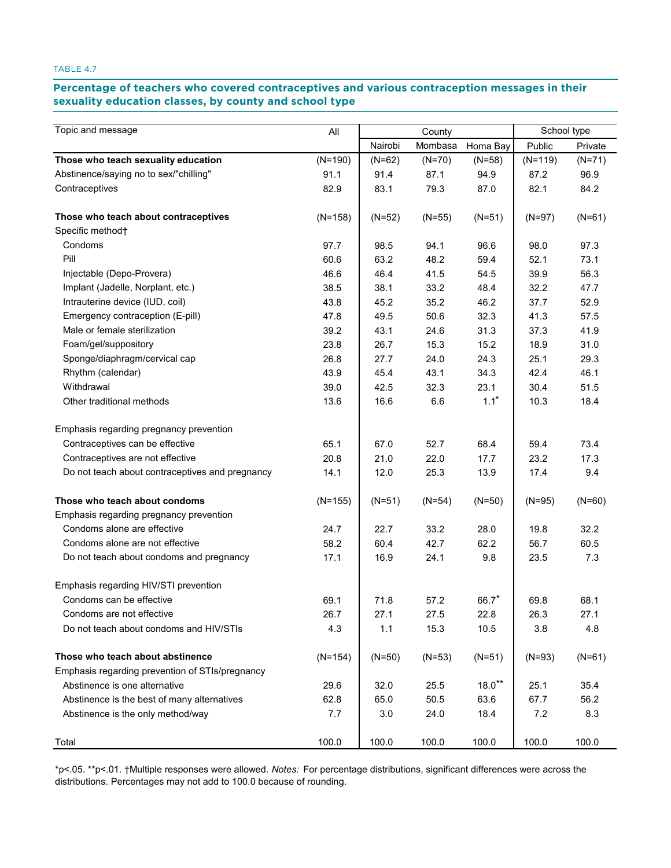# Percentage of teachers who covered contraceptives and various contraception messages in their **sexuality education classes, by county and school type education classes, by county and school type**

| Topic and message                               | All       |          | County   |          |           | School type |
|-------------------------------------------------|-----------|----------|----------|----------|-----------|-------------|
|                                                 |           | Nairobi  | Mombasa  | Homa Bay | Public    | Private     |
| Those who teach sexuality education             | $(N=190)$ | $(N=62)$ | $(N=70)$ | $(N=58)$ | $(N=119)$ | $(N=71)$    |
| Abstinence/saying no to sex/"chilling"          | 91.1      | 91.4     | 87.1     | 94.9     | 87.2      | 96.9        |
| Contraceptives                                  | 82.9      | 83.1     | 79.3     | 87.0     | 82.1      | 84.2        |
| Those who teach about contraceptives            | $(N=158)$ | $(N=52)$ | $(N=55)$ | $(N=51)$ | $(N=97)$  | $(N=61)$    |
| Specific method <sup>+</sup>                    |           |          |          |          |           |             |
| Condoms                                         | 97.7      | 98.5     | 94.1     | 96.6     | 98.0      | 97.3        |
| Pill                                            | 60.6      | 63.2     | 48.2     | 59.4     | 52.1      | 73.1        |
| Injectable (Depo-Provera)                       | 46.6      | 46.4     | 41.5     | 54.5     | 39.9      | 56.3        |
| Implant (Jadelle, Norplant, etc.)               | 38.5      | 38.1     | 33.2     | 48.4     | 32.2      | 47.7        |
| Intrauterine device (IUD, coil)                 | 43.8      | 45.2     | 35.2     | 46.2     | 37.7      | 52.9        |
| Emergency contraception (E-pill)                | 47.8      | 49.5     | 50.6     | 32.3     | 41.3      | 57.5        |
| Male or female sterilization                    | 39.2      | 43.1     | 24.6     | 31.3     | 37.3      | 41.9        |
| Foam/gel/suppository                            | 23.8      | 26.7     | 15.3     | 15.2     | 18.9      | 31.0        |
| Sponge/diaphragm/cervical cap                   | 26.8      | 27.7     | 24.0     | 24.3     | 25.1      | 29.3        |
| Rhythm (calendar)                               | 43.9      | 45.4     | 43.1     | 34.3     | 42.4      | 46.1        |
| Withdrawal                                      | 39.0      | 42.5     | 32.3     | 23.1     | 30.4      | 51.5        |
| Other traditional methods                       | 13.6      | 16.6     | 6.6      | $1.1*$   | 10.3      | 18.4        |
| Emphasis regarding pregnancy prevention         |           |          |          |          |           |             |
| Contraceptives can be effective                 | 65.1      | 67.0     | 52.7     | 68.4     | 59.4      | 73.4        |
| Contraceptives are not effective                | 20.8      | 21.0     | 22.0     | 17.7     | 23.2      | 17.3        |
| Do not teach about contraceptives and pregnancy | 14.1      | 12.0     | 25.3     | 13.9     | 17.4      | 9.4         |
| Those who teach about condoms                   | $(N=155)$ | $(N=51)$ | $(N=54)$ | $(N=50)$ | $(N=95)$  | $(N=60)$    |
| Emphasis regarding pregnancy prevention         |           |          |          |          |           |             |
| Condoms alone are effective                     | 24.7      | 22.7     | 33.2     | 28.0     | 19.8      | 32.2        |
| Condoms alone are not effective                 | 58.2      | 60.4     | 42.7     | 62.2     | 56.7      | 60.5        |
| Do not teach about condoms and pregnancy        | 17.1      | 16.9     | 24.1     | 9.8      | 23.5      | 7.3         |
| Emphasis regarding HIV/STI prevention           |           |          |          |          |           |             |
| Condoms can be effective                        | 69.1      | 71.8     | 57.2     | 66.7     | 69.8      | 68.1        |
| Condoms are not effective                       | 26.7      | 27.1     | 27.5     | 22.8     | 26.3      | 27.1        |
| Do not teach about condoms and HIV/STIs         | 4.3       | 1.1      | 15.3     | 10.5     | 3.8       | 4.8         |
| Those who teach about abstinence                | $(N=154)$ | $(N=50)$ | $(N=53)$ | $(N=51)$ | $(N=93)$  | $(N=61)$    |
| Emphasis regarding prevention of STIs/pregnancy |           |          |          |          |           |             |
| Abstinence is one alternative                   | 29.6      | 32.0     | 25.5     | $18.0**$ | 25.1      | 35.4        |
| Abstinence is the best of many alternatives     | 62.8      | 65.0     | 50.5     | 63.6     | 67.7      | 56.2        |
| Abstinence is the only method/way               | 7.7       | 3.0      | 24.0     | 18.4     | 7.2       | 8.3         |
| Total                                           | 100.0     | 100.0    | 100.0    | 100.0    | 100.0     | 100.0       |

\*p<.05. \*\*p<.01. †Multiple responses were allowed. *Notes:* For percentage distributions, significant differences were across the distributions. Percentages may not add to 100.0 because of rounding.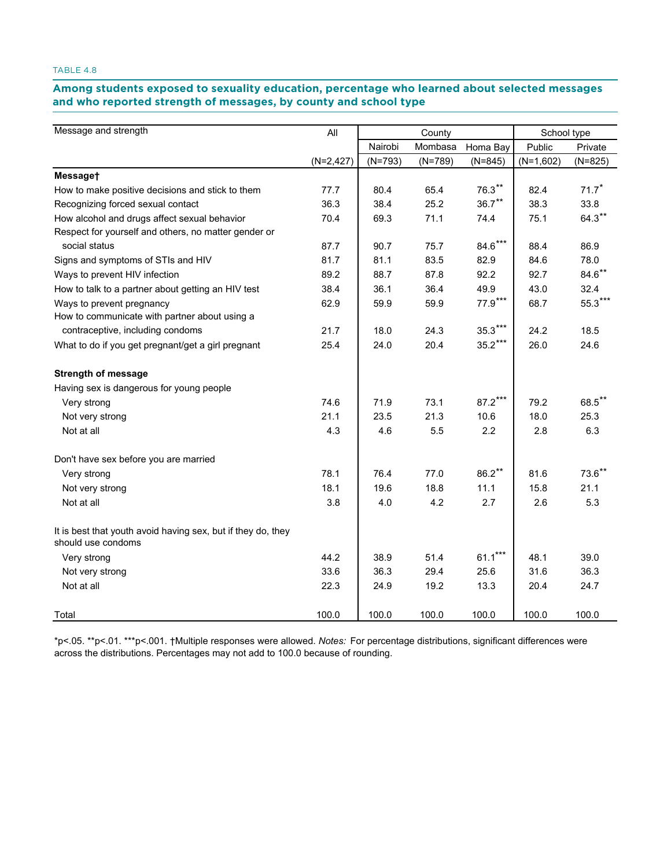# Among students exposed to sexuality education, percentage who learned about selected messages **and who reported strength of messages, by county and school type reported strength of messages, by county and school type**

| Message and strength                                                               | All          |           | County    |           | School type |           |
|------------------------------------------------------------------------------------|--------------|-----------|-----------|-----------|-------------|-----------|
|                                                                                    |              | Nairobi   | Mombasa   | Homa Bay  | Public      | Private   |
|                                                                                    | $(N=2, 427)$ | $(N=793)$ | $(N=789)$ | $(N=845)$ | $(N=1,602)$ | $(N=825)$ |
| Messaget                                                                           |              |           |           |           |             |           |
| How to make positive decisions and stick to them                                   | 77.7         | 80.4      | 65.4      | $76.3**$  | 82.4        | 71.7      |
| Recognizing forced sexual contact                                                  | 36.3         | 38.4      | 25.2      | $36.7***$ | 38.3        | 33.8      |
| How alcohol and drugs affect sexual behavior                                       | 70.4         | 69.3      | 71.1      | 74.4      | 75.1        | $64.3**$  |
| Respect for yourself and others, no matter gender or                               |              |           |           |           |             |           |
| social status                                                                      | 87.7         | 90.7      | 75.7      | $84.6***$ | 88.4        | 86.9      |
| Signs and symptoms of STIs and HIV                                                 | 81.7         | 81.1      | 83.5      | 82.9      | 84.6        | 78.0      |
| Ways to prevent HIV infection                                                      | 89.2         | 88.7      | 87.8      | 92.2      | 92.7        | $84.6***$ |
| How to talk to a partner about getting an HIV test                                 | 38.4         | 36.1      | 36.4      | 49.9      | 43.0        | 32.4      |
| Ways to prevent pregnancy                                                          | 62.9         | 59.9      | 59.9      | $77.9***$ | 68.7        | $55.3***$ |
| How to communicate with partner about using a                                      |              |           |           |           |             |           |
| contraceptive, including condoms                                                   | 21.7         | 18.0      | 24.3      | $35.3***$ | 24.2        | 18.5      |
| What to do if you get pregnant/get a girl pregnant                                 | 25.4         | 24.0      | 20.4      | $35.2***$ | 26.0        | 24.6      |
| <b>Strength of message</b>                                                         |              |           |           |           |             |           |
| Having sex is dangerous for young people                                           |              |           |           |           |             |           |
| Very strong                                                                        | 74.6         | 71.9      | 73.1      | $87.2***$ | 79.2        | 68.5**    |
| Not very strong                                                                    | 21.1         | 23.5      | 21.3      | 10.6      | 18.0        | 25.3      |
| Not at all                                                                         | 4.3          | 4.6       | 5.5       | 2.2       | 2.8         | 6.3       |
| Don't have sex before you are married                                              |              |           |           |           |             |           |
| Very strong                                                                        | 78.1         | 76.4      | 77.0      | $86.2***$ | 81.6        | $73.6***$ |
| Not very strong                                                                    | 18.1         | 19.6      | 18.8      | 11.1      | 15.8        | 21.1      |
| Not at all                                                                         | 3.8          | 4.0       | 4.2       | 2.7       | 2.6         | 5.3       |
| It is best that youth avoid having sex, but if they do, they<br>should use condoms |              |           |           |           |             |           |
| Very strong                                                                        | 44.2         | 38.9      | 51.4      | $61.1***$ | 48.1        | 39.0      |
| Not very strong                                                                    | 33.6         | 36.3      | 29.4      | 25.6      | 31.6        | 36.3      |
| Not at all                                                                         | 22.3         | 24.9      | 19.2      | 13.3      | 20.4        | 24.7      |
| Total                                                                              | 100.0        | 100.0     | 100.0     | 100.0     | 100.0       | 100.0     |

\*p<.05. \*\*p<.01. \*\*\*p<.001. †Multiple responses were allowed. *Notes:* For percentage distributions, significant differences were across the distributions. Percentages may not add to 100.0 because of rounding.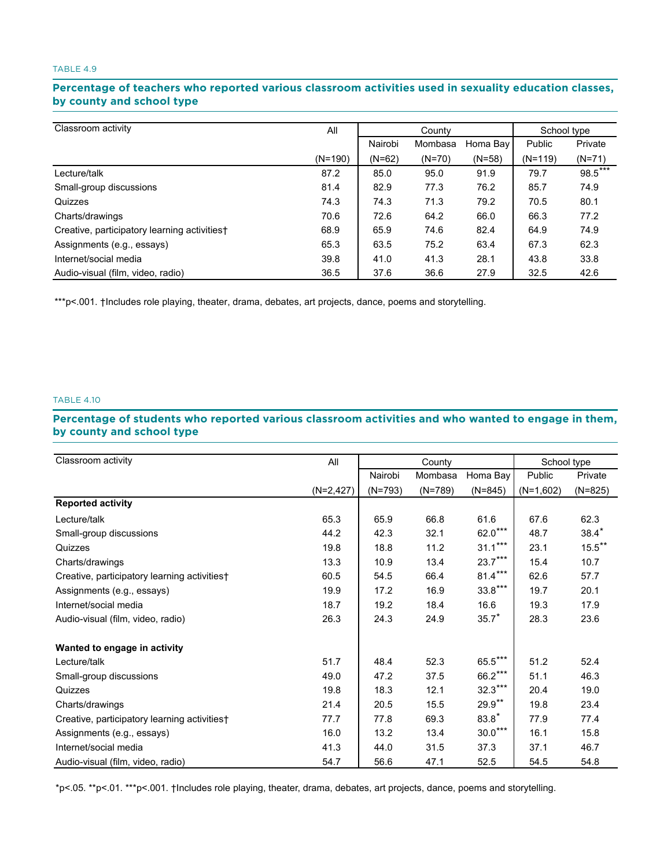## Percentage of teachers who reported various classroom activities used in sexuality education classes, **by county and school type county and school type**

| Classroom activity                           | All       | County   |          |          | School type |          |
|----------------------------------------------|-----------|----------|----------|----------|-------------|----------|
|                                              |           | Nairobi  | Mombasa  | Homa Bay | Public      | Private  |
|                                              | $(N=190)$ | $(N=62)$ | $(N=70)$ | $(N=58)$ | $(N=119)$   | $(N=71)$ |
| Lecture/talk                                 | 87.2      | 85.0     | 95.0     | 91.9     | 79.7        | 98.5***  |
| Small-group discussions                      | 81.4      | 82.9     | 77.3     | 76.2     | 85.7        | 74.9     |
| Quizzes                                      | 74.3      | 74.3     | 71.3     | 79.2     | 70.5        | 80.1     |
| Charts/drawings                              | 70.6      | 72.6     | 64.2     | 66.0     | 66.3        | 77.2     |
| Creative, participatory learning activities† | 68.9      | 65.9     | 74.6     | 82.4     | 64.9        | 74.9     |
| Assignments (e.g., essays)                   | 65.3      | 63.5     | 75.2     | 63.4     | 67.3        | 62.3     |
| Internet/social media                        | 39.8      | 41.0     | 41.3     | 28.1     | 43.8        | 33.8     |
| Audio-visual (film, video, radio)            | 36.5      | 37.6     | 36.6     | 27.9     | 32.5        | 42.6     |

\*\*\*p<.001. †Includes role playing, theater, drama, debates, art projects, dance, poems and storytelling.

#### TABLE 4.10

# Percentage of students who reported various classroom activities and who wanted to engage in them, **by county and school type county and school type**

| Classroom activity                           | All          |           | County    |           | School type |           |
|----------------------------------------------|--------------|-----------|-----------|-----------|-------------|-----------|
|                                              |              | Nairobi   | Mombasa   | Homa Bay  | Public      | Private   |
|                                              | $(N=2, 427)$ | $(N=793)$ | $(N=789)$ | $(N=845)$ | $(N=1,602)$ | $(N=825)$ |
| <b>Reported activity</b>                     |              |           |           |           |             |           |
| Lecture/talk                                 | 65.3         | 65.9      | 66.8      | 61.6      | 67.6        | 62.3      |
| Small-group discussions                      | 44.2         | 42.3      | 32.1      | $62.0***$ | 48.7        | $38.4*$   |
| Quizzes                                      | 19.8         | 18.8      | 11.2      | $31.1***$ | 23.1        | $15.5***$ |
| Charts/drawings                              | 13.3         | 10.9      | 13.4      | $23.7***$ | 15.4        | 10.7      |
| Creative, participatory learning activities† | 60.5         | 54.5      | 66.4      | $81.4***$ | 62.6        | 57.7      |
| Assignments (e.g., essays)                   | 19.9         | 17.2      | 16.9      | $33.8***$ | 19.7        | 20.1      |
| Internet/social media                        | 18.7         | 19.2      | 18.4      | 16.6      | 19.3        | 17.9      |
| Audio-visual (film, video, radio)            | 26.3         | 24.3      | 24.9      | $35.7*$   | 28.3        | 23.6      |
| Wanted to engage in activity                 |              |           |           |           |             |           |
| Lecture/talk                                 | 51.7         | 48.4      | 52.3      | $65.5***$ | 51.2        | 52.4      |
| Small-group discussions                      | 49.0         | 47.2      | 37.5      | $66.2***$ | 51.1        | 46.3      |
| Quizzes                                      | 19.8         | 18.3      | 12.1      | $32.3***$ | 20.4        | 19.0      |
| Charts/drawings                              | 21.4         | 20.5      | 15.5      | $29.9**$  | 19.8        | 23.4      |
| Creative, participatory learning activities† | 77.7         | 77.8      | 69.3      | $83.8*$   | 77.9        | 77.4      |
| Assignments (e.g., essays)                   | 16.0         | 13.2      | 13.4      | $30.0***$ | 16.1        | 15.8      |
| Internet/social media                        | 41.3         | 44.0      | 31.5      | 37.3      | 37.1        | 46.7      |
| Audio-visual (film, video, radio)            | 54.7         | 56.6      | 47.1      | 52.5      | 54.5        | 54.8      |

\*p<.05. \*\*p<.01. \*\*\*p<.001. †Includes role playing, theater, drama, debates, art projects, dance, poems and storytelling.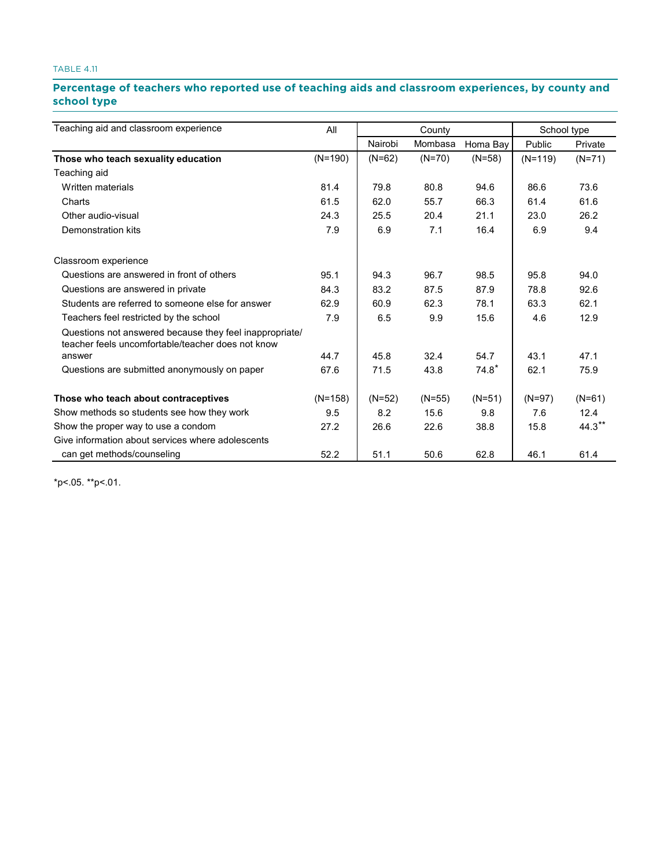# Percentage of teachers who reported use of teaching aids and classroom experiences, by county and **school type type**

| Teaching aid and classroom experience                                                                        | All       |          | County   |          | School type |          |
|--------------------------------------------------------------------------------------------------------------|-----------|----------|----------|----------|-------------|----------|
|                                                                                                              |           | Nairobi  | Mombasa  | Homa Bay | Public      | Private  |
| Those who teach sexuality education                                                                          | $(N=190)$ | $(N=62)$ | $(N=70)$ | $(N=58)$ | $(N=119)$   | $(N=71)$ |
| Teaching aid                                                                                                 |           |          |          |          |             |          |
| Written materials                                                                                            | 81.4      | 79.8     | 80.8     | 94.6     | 86.6        | 73.6     |
| Charts                                                                                                       | 61.5      | 62.0     | 55.7     | 66.3     | 61.4        | 61.6     |
| Other audio-visual                                                                                           | 24.3      | 25.5     | 20.4     | 21.1     | 23.0        | 26.2     |
| Demonstration kits                                                                                           | 7.9       | 6.9      | 7.1      | 16.4     | 6.9         | 9.4      |
| Classroom experience                                                                                         |           |          |          |          |             |          |
| Questions are answered in front of others                                                                    | 95.1      | 94.3     | 96.7     | 98.5     | 95.8        | 94.0     |
| Questions are answered in private                                                                            | 84.3      | 83.2     | 87.5     | 87.9     | 78.8        | 92.6     |
| Students are referred to someone else for answer                                                             | 62.9      | 60.9     | 62.3     | 78.1     | 63.3        | 62.1     |
| Teachers feel restricted by the school                                                                       | 7.9       | 6.5      | 9.9      | 15.6     | 4.6         | 12.9     |
| Questions not answered because they feel inappropriate/<br>teacher feels uncomfortable/teacher does not know |           |          |          |          |             |          |
| answer                                                                                                       | 44.7      | 45.8     | 32.4     | 54.7     | 43.1        | 47.1     |
| Questions are submitted anonymously on paper                                                                 | 67.6      | 71.5     | 43.8     | $74.8*$  | 62.1        | 75.9     |
| Those who teach about contraceptives                                                                         | $(N=158)$ | $(N=52)$ | $(N=55)$ | $(N=51)$ | $(N=97)$    | $(N=61)$ |
| Show methods so students see how they work                                                                   | 9.5       | 8.2      | 15.6     | 9.8      | 7.6         | 12.4     |
| Show the proper way to use a condom                                                                          | 27.2      | 26.6     | 22.6     | 38.8     | 15.8        | $44.3**$ |
| Give information about services where adolescents                                                            |           |          |          |          |             |          |
| can get methods/counseling                                                                                   | 52.2      | 51.1     | 50.6     | 62.8     | 46.1        | 61.4     |

\*p<.05. \*\*p<.01.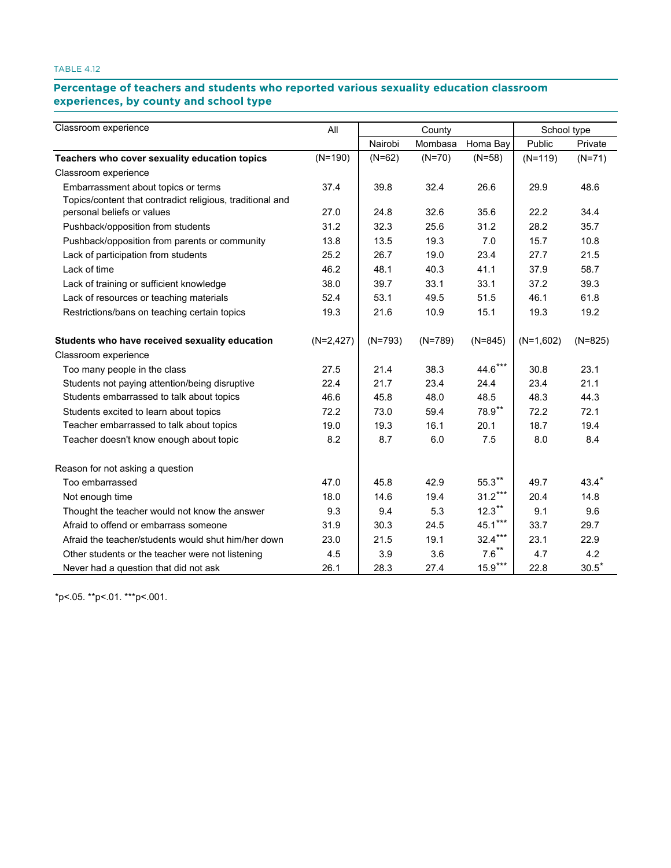# Percentage of teachers and students who reported various sexuality education classroom **experiences, by county and school type county and school type**

| Classroom experience                                      | All         |           | County    |           | School type |                |
|-----------------------------------------------------------|-------------|-----------|-----------|-----------|-------------|----------------|
|                                                           |             | Nairobi   | Mombasa   | Homa Bay  | Public      | Private        |
| Teachers who cover sexuality education topics             | $(N=190)$   | $(N=62)$  | $(N=70)$  | $(N=58)$  | $(N=119)$   | $(N=71)$       |
| Classroom experience                                      |             |           |           |           |             |                |
| Embarrassment about topics or terms                       | 37.4        | 39.8      | 32.4      | 26.6      | 29.9        | 48.6           |
| Topics/content that contradict religious, traditional and |             |           |           |           |             |                |
| personal beliefs or values                                | 27.0        | 24.8      | 32.6      | 35.6      | 22.2        | 34.4           |
| Pushback/opposition from students                         | 31.2        | 32.3      | 25.6      | 31.2      | 28.2        | 35.7           |
| Pushback/opposition from parents or community             | 13.8        | 13.5      | 19.3      | 7.0       | 15.7        | 10.8           |
| Lack of participation from students                       | 25.2        | 26.7      | 19.0      | 23.4      | 27.7        | 21.5           |
| Lack of time                                              | 46.2        | 48.1      | 40.3      | 41.1      | 37.9        | 58.7           |
| Lack of training or sufficient knowledge                  | 38.0        | 39.7      | 33.1      | 33.1      | 37.2        | 39.3           |
| Lack of resources or teaching materials                   | 52.4        | 53.1      | 49.5      | 51.5      | 46.1        | 61.8           |
| Restrictions/bans on teaching certain topics              | 19.3        | 21.6      | 10.9      | 15.1      | 19.3        | 19.2           |
| Students who have received sexuality education            | $(N=2,427)$ | $(N=793)$ | $(N=789)$ | $(N=845)$ | $(N=1,602)$ | $(N=825)$      |
| Classroom experience                                      |             |           |           |           |             |                |
| Too many people in the class                              | 27.5        | 21.4      | 38.3      | $44.6***$ | 30.8        | 23.1           |
| Students not paying attention/being disruptive            | 22.4        | 21.7      | 23.4      | 24.4      | 23.4        | 21.1           |
| Students embarrassed to talk about topics                 | 46.6        | 45.8      | 48.0      | 48.5      | 48.3        | 44.3           |
| Students excited to learn about topics                    | 72.2        | 73.0      | 59.4      | 78.9**    | 72.2        | 72.1           |
| Teacher embarrassed to talk about topics                  | 19.0        | 19.3      | 16.1      | 20.1      | 18.7        | 19.4           |
| Teacher doesn't know enough about topic                   | 8.2         | 8.7       | 6.0       | 7.5       | 8.0         | 8.4            |
| Reason for not asking a question                          |             |           |           |           |             |                |
| Too embarrassed                                           | 47.0        | 45.8      | 42.9      | $55.3***$ | 49.7        | $43.4*$        |
| Not enough time                                           | 18.0        | 14.6      | 19.4      | $31.2***$ | 20.4        | 14.8           |
| Thought the teacher would not know the answer             | 9.3         | 9.4       | 5.3       | $12.3***$ | 9.1         | 9.6            |
| Afraid to offend or embarrass someone                     | 31.9        | 30.3      | 24.5      | $45.1***$ | 33.7        | 29.7           |
| Afraid the teacher/students would shut him/her down       | 23.0        | 21.5      | 19.1      | $32.4***$ | 23.1        | 22.9           |
| Other students or the teacher were not listening          | 4.5         | 3.9       | 3.6       | $7.6***$  | 4.7         | 4.2            |
| Never had a question that did not ask                     | 26.1        | 28.3      | 27.4      | $15.9***$ | 22.8        | $30.5^{\star}$ |

\*p<.05. \*\*p<.01. \*\*\*p<.001.